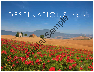# D ESTINATIONS 2023 Digital Sample

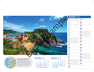# *DECEMBER 2022*



|    |  | wk Sun Mon Tue Wed Thu Fri Sat            |                                            | Wk             |
|----|--|-------------------------------------------|--------------------------------------------|----------------|
| 48 |  |                                           | $\begin{array}{ccc} 1 & 2 & 3 \end{array}$ | 5              |
|    |  | 4 5 6 7 8 9 10                            |                                            | 6              |
|    |  | <sub>50</sub> 11 <b>12 13 14 15 16</b> 17 |                                            | $\overline{z}$ |
|    |  | <sub>51</sub> 18 <b>19 20 21 22 23 24</b> |                                            | $\mathcal{R}$  |
|    |  | <b>25 26 27 28 29 30 31</b>               |                                            | $\circ$        |

|                                                                                                           |                                                                                                                                                                                         | <b>JANUARY 2023</b>                 |                     |
|-----------------------------------------------------------------------------------------------------------|-----------------------------------------------------------------------------------------------------------------------------------------------------------------------------------------|-------------------------------------|---------------------|
|                                                                                                           |                                                                                                                                                                                         | New Year's Day<br>Sun               | 17<br>Tue           |
|                                                                                                           |                                                                                                                                                                                         | New Year's Holiday<br>Mon<br>Week 1 | 18<br>Wed           |
|                                                                                                           |                                                                                                                                                                                         | Bank Holiday (Scotland)<br>3<br>Tue | 19<br>Thu           |
|                                                                                                           |                                                                                                                                                                                         | Wed                                 | 20<br>Fri           |
|                                                                                                           |                                                                                                                                                                                         | 5<br>Thu                            | 21<br>Sat           |
|                                                                                                           |                                                                                                                                                                                         | 6<br>Fri                            | 22<br>Sun           |
|                                                                                                           |                                                                                                                                                                                         | $\overline{\phantom{a}}$<br>Sat     | 23<br>Mon<br>Week 4 |
|                                                                                                           |                                                                                                                                                                                         | 8<br>Sun                            | 24<br>Tue           |
|                                                                                                           |                                                                                                                                                                                         | 9<br>Mon<br>Week 2                  | 25<br>Wed           |
|                                                                                                           |                                                                                                                                                                                         | 10<br>Tue                           | 26<br>Thu           |
|                                                                                                           |                                                                                                                                                                                         | 11<br>Wed                           | 27<br>Fri           |
|                                                                                                           |                                                                                                                                                                                         | 12<br>Thu                           | 28<br>Sat           |
| <b>Badia de Tossa</b>                                                                                     | <b>DECEMBER 2022</b><br><b>FEBRUARY 2023</b>                                                                                                                                            | 13<br>Fri                           | 29<br>Sun           |
| ı, Spain<br>the walled Old Town of<br>fortified medieval town                                             | wk Sun Mon Tue Wed Thu Fri Sat<br>Wk Sun Mon Tue Wed Thu Fri Sat<br>$\overline{\mathbf{3}}$<br>$\mathbf{2}$<br>$\mathbf{3}$<br>$\mathbf{2}^-$<br>$\overline{4}$<br>$\overline{5}$<br>48 | 14<br>Sat                           | 30<br>Mon<br>Week 5 |
| nd dates from the late<br>ments, towers and turrets<br>led streets and medieval<br>ly 19th century at the | 10<br>9 10 11<br>6 7 8<br>9<br>5<br>8<br>5 <sup>1</sup><br>7<br>6<br>49<br>. 11 12 13 14 15 16 17<br>, 12 13 14 15 16 17 18                                                             | 15<br>Sun                           | 31<br>Tue           |
| ontory.                                                                                                   | , 19 20 21 22 23 24 25<br>57 18 19 20 21 22 23 24<br>25 26 27 28 29 30 31<br>, 26 27 28                                                                                                 | 16<br>Mon<br>Week 3                 |                     |

*In a majestic Mediterranean setting, the walled Old Town of Tossa de Mar is the only example of a fortified medieval town still standing on the Catalan coast and dates from the late 14th century. Stone walls with battlements, towers and turrets surround the charming narrow cobbled streets and medieval buildings. A castle stood until the early 19th century at the highest point on the tree-clad promontory.*

| <b>FEBRUARY 2023</b> |  |                                |  |  |  |                             |  |  |  |  |
|----------------------|--|--------------------------------|--|--|--|-----------------------------|--|--|--|--|
|                      |  | wk Sun Mon Tue Wed Thu Fri Sat |  |  |  |                             |  |  |  |  |
| 5                    |  |                                |  |  |  | $1 \quad 2 \quad 3 \quad 4$ |  |  |  |  |
|                      |  | 6 7 8 9 10 11                  |  |  |  |                             |  |  |  |  |
|                      |  | , 12 13 14 15 16 17 18         |  |  |  |                             |  |  |  |  |
|                      |  | <b>19 20 21 22 23 24 25</b>    |  |  |  |                             |  |  |  |  |
|                      |  | . 26 27 28                     |  |  |  |                             |  |  |  |  |

### **Fortress Vila Vella and Badia de Tossa Tossa de Mar, Catalonia, Spain**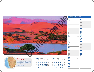| <b>FEBRUARY 2023</b>           |                     |
|--------------------------------|---------------------|
| 1                              | 17                  |
| Wed                            | Fri                 |
| $\overline{\mathbf{2}}$        | 18                  |
| Thu                            | Sat                 |
| 3                              | 19                  |
| Fri                            | Sun                 |
| $\overline{\mathbf{4}}$<br>Sat | 20<br>Mon<br>Week 8 |
| 5                              | 21                  |
| Sun                            | <b>Tue</b>          |
| 6<br>Mon<br>Week 6             | 22<br>Wed           |
| 7                              | 23                  |
| <b>Tue</b>                     | Thu                 |
| 8                              | 24                  |
| Wed                            | Fri                 |
| 9                              | 25                  |
| Thu                            | Sat                 |
| <b>10</b>                      | 26                  |
| Fri                            | Sun                 |
| 11<br>Sat                      | 27<br>Mon<br>Week 9 |
| 12                             | 28                  |
| Sun                            | Tue                 |
| 13<br>Mon<br>Week 7            |                     |
| 14<br>Tue                      |                     |
| 15<br>Wed                      |                     |
| 16<br>Thu                      |                     |



|  | <sub>Wk</sub> Sun Mon Tue Wed Thu Fri Sat |  |  | Wk           |
|--|-------------------------------------------|--|--|--------------|
|  | $1$ 2 3 4 5 6 7                           |  |  | <sup>o</sup> |
|  | 2 8 9 10 11 12 13 14                      |  |  | 10           |
|  | , 15 <b>16 17 18 19 20</b> 21             |  |  | 11           |
|  | 4 22 23 24 25 26 27 28                    |  |  | 12           |
|  | 293031                                    |  |  | 13           |

*Surrounded by towering red and orange sand dunes, some of the highest in the world, reaching 400m, Sossusvlei is a large white salt and clay pan at the end of the Tsauchab River. During exceptional rainfall it fills with water, becoming a glassy lake. A wide variety of plants and animals have adapted to survive the harsh desert conditions. The highest of the dunes are partially covered with vegetation.* 

# **JANUARY 2023**

### *Sun Mon Tue Wed Thu Fri Sat MARCH 2023 9 10* **5 6 7 8 9 10 11**  *11* **12 13 14 15 16 17 18** *12* **19 20 21 22 23 24 25** *13* **26 27 28 29 30 31 1 2 3 4**

### **Namib Desert Sossusvlei, Namibia**

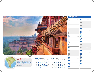### *Sun Mon Tue Wed Thu Fri Sat APRIL 2023 13 14* **2 3 4 5 6 7 8**  *15* **9 10 11 12 13 14 15** *16* **16 17 18 19 20 21 22**  $17^{23/30}$  **24 25 26 27 28 29 1 1**

|   |         |  | Wk Sun Mon Tue Wed Thu Fri Sat | Wk |
|---|---------|--|--------------------------------|----|
| 5 |         |  | $1 \quad 2 \quad 3 \quad 4$    | 13 |
|   |         |  | 6 7 8 9 10 11                  | 14 |
|   |         |  | , 12 <b>13 14 15 16 17</b> 18  | 15 |
|   |         |  | , 19 20 21 22 23 24 25         | 16 |
|   | .262728 |  |                                | 17 |

| <b>MARCH 2023</b>              |                        |           |                                  |
|--------------------------------|------------------------|-----------|----------------------------------|
| 1<br>Wed                       | St David's Day (Wales) | 17<br>Fri | St Patrick's Day (BH NI & Eire)  |
| 2<br>Thu                       |                        | 18<br>Sat |                                  |
| 3<br>Fri                       |                        | 19<br>Sun |                                  |
| $\overline{\mathbf{4}}$<br>Sat |                        | 20<br>Mon | Week 12                          |
| 5<br>Sun                       |                        | 21<br>Tue |                                  |
| 6<br>Mon                       | Week 10                | 22<br>Wed |                                  |
| 7<br>Tue                       |                        | 23<br>Thu |                                  |
| 8<br>Wed                       |                        | 24<br>Fri |                                  |
| 9<br>Thu                       |                        | 25<br>Sat |                                  |
| <b>10</b><br>Fri               |                        | 26<br>Sun | <b>British Summertime starts</b> |
| 11<br>Sat                      |                        | 27<br>Mon | Week 13                          |
| 12<br>Sun                      |                        | 28<br>Tue |                                  |
| 13<br>Mon                      | Week 11                | 29<br>Wed |                                  |
| 14<br>Tue                      |                        | 30<br>Thu |                                  |
| 15<br>Wed                      |                        | 31<br>Fri |                                  |
| 16<br>Thu                      |                        |           |                                  |

INDIA *In the 17th century this fortress palace was built by King Bir Singh Deo in honour of the Mughal emperor Jahangir. The huge sandstone structure with domes, hanging balconies and terraces, has three storeys, hundreds of chambers and grand irwans (gateways) large enough to allow elephants to enter. Orchha is steeped in history and is famous for its palaces and temples, reflecting the glory of its rulers.*

## **FEBRUARY 2023**

### **Jahangir Mahal Palace, Orchha Madhya Pradesh, India**



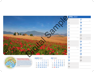# *MARCH 2023*



|   |  |                          | wk Sun Mon Tue Wed Thu Fri Sat                          | Wk |
|---|--|--------------------------|---------------------------------------------------------|----|
| Q |  |                          | $1 \quad 2 \quad 3 \quad 4$                             | 18 |
|   |  |                          | $10 \t{.}5 \t{.}6 \t{.}7 \t{.}8 \t{.}9 \t{.}10 \t{.}11$ | 19 |
|   |  |                          | ., 12 13 14 15 16 17 18                                 | 20 |
|   |  |                          | , 19 20 21 22 23 24 25                                  | 21 |
|   |  | <b>26 27 28 29 30 31</b> |                                                         | 22 |

| <b>APRIL 2023</b>                            |                           |
|----------------------------------------------|---------------------------|
| 1<br>Sat                                     | 17<br>Mon<br>Week 16      |
| $\overline{2}$                               | 18                        |
| Sun                                          | <b>Tue</b>                |
| 3<br>Mon<br>Week 14                          | 19<br>Wed                 |
| 4                                            | 20                        |
| <b>Tue</b>                                   | Thu                       |
| 5                                            | 21                        |
| Wed                                          | Fri                       |
| 6                                            | 22                        |
| Thu                                          | Sat                       |
| Good Friday                                  | St George's Day (England) |
| 7                                            | 23                        |
| Fri                                          | Sun                       |
| 8<br>Sat                                     | 24<br>Mon<br>Week 17      |
| 9                                            | 25                        |
| Sun                                          | <b>Tue</b>                |
| Easter Monday<br><b>10</b><br>Mon<br>Week 15 | 26<br>Wed                 |
| 11                                           | 27                        |
| Tue                                          | Thu                       |
| 12                                           | 28                        |
| Wed                                          | Fri                       |
| 13                                           | 29                        |
| Thu                                          | Sat                       |
| 14                                           | 30                        |
| Fri                                          | Sun                       |
| 15<br>Sat                                    |                           |
| 16<br>Sun                                    |                           |

*This small chapel in an evocative setting in the rolling hills and poppy fields of the Val d'Orcia, framed by cypress trees, was built in the spot where, legend has it, the Virgin Mary appeared to a shepherdess. In 1533, a statue of the Virgin Mary was installed in the church, today conserved in the Church of Madonna di Vitaleta in San Quirico. The present chapel was restored and redesigned in the 1800s.*

| <b>MAY 2023</b> |  |                                           |  |  |  |  |  |  |  |  |
|-----------------|--|-------------------------------------------|--|--|--|--|--|--|--|--|
|                 |  | wk Sun Mon Tue Wed Thu Fri Sat            |  |  |  |  |  |  |  |  |
|                 |  | 123456                                    |  |  |  |  |  |  |  |  |
|                 |  | $\frac{1}{12}$ 7 8 9 10 11 12 13          |  |  |  |  |  |  |  |  |
|                 |  | <sub>20</sub> 14 <b>15 16 17 18 19</b> 20 |  |  |  |  |  |  |  |  |
|                 |  | <sub>21</sub> 21 22 23 24 25 26 27        |  |  |  |  |  |  |  |  |
|                 |  | <sub>»</sub> 28 29 30 31                  |  |  |  |  |  |  |  |  |

### **Chapel of Madonna di Vitaleta San Quirico d'Orcia, Siena, Italy**

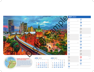*Tue*

# *APRIL 2023*



|    |  |  | Wk Sun Mon Tue Wed Thu Fri Sat |  |  |               | Wk Sun Mon Tue Wed Thu Fri      |            |  |
|----|--|--|--------------------------------|--|--|---------------|---------------------------------|------------|--|
| 13 |  |  |                                |  |  | $\frac{1}{2}$ |                                 | $1\quad 2$ |  |
|    |  |  | $\frac{1}{2}$ 2 3 4 5 6 7 8    |  |  |               | $_2$ 4 5 6 7 8 9                |            |  |
|    |  |  | <b>5</b> 9 10 11 12 13 14 15   |  |  |               | <sub>24</sub> 11 12 13 14 15 16 |            |  |
|    |  |  | 16 17 18 19 20 21 22           |  |  |               | <b>25</b> 18 19 20 21 22 23     |            |  |
|    |  |  | $17^{23/30}$ 24 25 26 27 28 29 |  |  |               | 25 26 27 28 29 30               |            |  |

| <b>MAY 2023</b>         |                     |                  |                                |
|-------------------------|---------------------|------------------|--------------------------------|
| 1<br>Mon                | <b>Bank Holiday</b> | 17<br>Wed        |                                |
| $\overline{\mathbf{2}}$ | Week 18             | 18               |                                |
| Tue<br>3                |                     | Thu<br>19        |                                |
| Wed<br>4                |                     | Fri<br>20        |                                |
| Thu                     |                     | Sat              |                                |
| 5<br>Fri                |                     | 21<br>Sun        |                                |
| 6<br>Sat                |                     | 22<br>Mon        | Week 21                        |
| 7<br>Sun                |                     | 23<br>Tue        |                                |
| 8<br>Mon                | Week 19             | 24<br>Wed        |                                |
| 9<br><b>Tue</b>         |                     | 25<br>Thu        |                                |
| <b>10</b><br>Wed        |                     | <b>26</b><br>Fri |                                |
| 11<br>Thu               |                     | 27<br>Sat        |                                |
| 12<br>Fri               |                     | 28<br>Sun        |                                |
| 13<br>Sat               |                     | 29<br>Mon        | <b>Bank Holiday</b><br>Week 22 |
| 14<br>Sun               |                     | 30<br>Tue        |                                |
| 15<br>Mon               | Week 20             | 31<br>Wed        |                                |
| 16                      |                     |                  |                                |

*Situated in the narrow Aburrá Valley with a highrise skyline set against a backdrop of jagged peaks, this attractive, bustling city draws travellers for its natural beauty, museums, public artwork and vibrant nightlife. Capital of Colombia's mountainous Antioquia province in the central Andes, it is nicknamed the 'City of Eternal Spring' for its temperate climate and its famous annual Flower Festival.* 

| <b>JUNE 2023</b> |  |                                           |  |  |  |                     |  |  |  |  |
|------------------|--|-------------------------------------------|--|--|--|---------------------|--|--|--|--|
|                  |  | Wk Sun Mon Tue Wed Thu Fri Sat            |  |  |  |                     |  |  |  |  |
| 22               |  |                                           |  |  |  | $1 \quad 2 \quad 3$ |  |  |  |  |
|                  |  | $_2$ 4 5 6 7 8 9 10                       |  |  |  |                     |  |  |  |  |
|                  |  | <sub>24</sub> 11 12 13 14 15 16 17        |  |  |  |                     |  |  |  |  |
|                  |  | <sub>25</sub> 18 <b>19 20 21 22 23 24</b> |  |  |  |                     |  |  |  |  |
|                  |  | <sub>26</sub> 25 26 27 28 29 30           |  |  |  |                     |  |  |  |  |

### **Medellín, 'City of Eternal Spring' Aburrá Valley, Colombia**

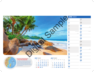# *MAY 2023*



|    |                          |  | Wk Sun Mon Tue Wed Thu Fri Sat            | Wk |
|----|--------------------------|--|-------------------------------------------|----|
| 18 |                          |  | 1 2 3 4 5 6                               | 26 |
|    |                          |  | , 7 8 9 10 11 12 13                       | 27 |
|    |                          |  | <sub>20</sub> 14 <b>15 16 17 18 19 20</b> | 28 |
|    |                          |  | , 21 22 23 24 25 26 27                    | 29 |
|    | <sub>»</sub> 28 29 30 31 |  |                                           | 30 |

|                                                                                                                            |                                                                                                                                                                                                                                                                                                | <b>JUNE 2023</b>                                  | 17                              |
|----------------------------------------------------------------------------------------------------------------------------|------------------------------------------------------------------------------------------------------------------------------------------------------------------------------------------------------------------------------------------------------------------------------------------------|---------------------------------------------------|---------------------------------|
|                                                                                                                            |                                                                                                                                                                                                                                                                                                | Thu<br>2<br>Fri                                   | Sat<br>18<br>Sun                |
|                                                                                                                            |                                                                                                                                                                                                                                                                                                | 3<br>Sat<br>4                                     | 19<br>Mon<br>Week 25<br>20      |
|                                                                                                                            |                                                                                                                                                                                                                                                                                                | Sun<br>Bank Holiday (Eire)<br>5<br>Mon<br>Week 23 | Tue<br>Longest Day<br>21<br>Wed |
|                                                                                                                            |                                                                                                                                                                                                                                                                                                | 6<br>Tue                                          | 22<br>Thu<br>23                 |
|                                                                                                                            |                                                                                                                                                                                                                                                                                                | Wed<br>8<br>Thu                                   | Fri<br>24<br>Sat                |
|                                                                                                                            |                                                                                                                                                                                                                                                                                                | 9<br>Fri<br>$\blacksquare$                        | 25<br>Sun<br>26                 |
|                                                                                                                            |                                                                                                                                                                                                                                                                                                | Sat<br>11<br>Sun                                  | Mon<br>Week 26<br>27<br>Tue     |
|                                                                                                                            |                                                                                                                                                                                                                                                                                                | 12<br>Mon<br>Week 24<br>13                        | 28<br>Wed<br>29                 |
| <b>Beach</b><br>helles<br><sup>2</sup> 115 islands in the Indian<br>arger granite islands and<br>med for their exquisitely | <b>MAY 2023</b><br><b>JULY 2023</b><br>wk Sun Mon Tue Wed Thu Fri Sat<br>wk Sun Mon Tue Wed Thu Fri Sat<br>2 <sup>1</sup><br>3<br>5<br>-6<br>$\overline{\mathbf{4}}$<br>18<br>26                                                                                                               | Tue<br>14<br>Wed                                  | Thu<br>30<br>Fri                |
| hallow turquoise waters,<br>drop of palm trees and dense<br>ulptured by the elements lay                                   | 9 10 11 12 13<br>8<br>$\overline{2}$<br>7<br>8<br>5<br>6<br>3<br>$\overline{\mathbf{4}}$<br>27<br>19<br>20 14 15 16 17 18 19 20<br>9 10 11 12 13 14 15<br>28<br>21 22 23 24 25 26 27<br><sup>29</sup> 16 17 18 19 20 21 22<br>22 28 29 30 31<br>$\frac{23}{30}$ $\frac{24}{31}$ 25 26 27 28 29 | 15<br>Thu<br>16<br>Fri                            |                                 |

*The Seychelles are an archipelago of 115 islands in the Indian Ocean, divided into two groups, the larger granite islands and the smaller coral islands. They are famed for their exquisitely beautiful beaches, lapped by calm, shallow turquoise waters, with soft white sand and a lush backdrop of palm trees and dense rainforest. Huge granite boulders sculptured by the elements lay strewn along the beaches.* 

| <b>JULY 2023</b> |  |  |  |  |  |                                                |   |  |  |
|------------------|--|--|--|--|--|------------------------------------------------|---|--|--|
|                  |  |  |  |  |  | Wk Sun Mon Tue Wed Thu Fri Sat                 |   |  |  |
| 26               |  |  |  |  |  |                                                | 1 |  |  |
|                  |  |  |  |  |  | $\frac{1}{27}$ 2 3 4 5 6 7 8                   |   |  |  |
|                  |  |  |  |  |  | 28 9 10 11 12 13 14 15                         |   |  |  |
|                  |  |  |  |  |  | <sub>29</sub> 16 17 18 19 20 21 22             |   |  |  |
|                  |  |  |  |  |  | $\frac{23}{30}$ $\frac{24}{31}$ 25 26 27 28 29 |   |  |  |

### **Anse Source d'Argent Beach La Digue Island, Seychelles**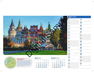# *JUNE 2023*

### **RUSSIA** *Situated in the beautifully architected Izmailovsky Kremlin in*  **Izmailovsky Market Moscow, Russia**

|    |                                 |  | Wk Sun Mon Tue Wed Thu Fri Sat     | Wk |
|----|---------------------------------|--|------------------------------------|----|
| 22 |                                 |  | $1\quad 2\quad 3$                  | 31 |
|    |                                 |  | $_2$ 4 5 6 7 8 9 10                | 32 |
|    |                                 |  | <sub>24</sub> 11 12 13 14 15 16 17 | 33 |
|    |                                 |  | <sub>25</sub> 18 19 20 21 22 23 24 | 34 |
|    | <sub>26</sub> 25 26 27 28 29 30 |  |                                    | 35 |

| <b>JULY 2023</b>                      |                      |
|---------------------------------------|----------------------|
| 1<br>Sat                              | 17<br>Mon<br>Week 29 |
| $\overline{2}$                        | 18                   |
| Sun                                   | <b>Tue</b>           |
| 3<br>Mon<br>Week 27                   | 19<br>Wed            |
| 4                                     | 20                   |
| Tue                                   | Thu                  |
| 5                                     | 21                   |
| Wed                                   | Fri                  |
| 6                                     | 22                   |
| Thu                                   | Sat                  |
| 7                                     | 23                   |
| Fri                                   | Sun                  |
| 8<br>Sat                              | 24<br>Mon<br>Week 30 |
| 9                                     | 25                   |
| Sun                                   | <b>Tue</b>           |
| 10<br>Mon<br>Week 28                  | 26<br>Wed            |
| 11                                    | 27                   |
| <b>Tue</b>                            | Thu                  |
| Bank Holiday (N Ireland)<br>12<br>Wed | 28<br>Fri            |
| 13                                    | 29                   |
| Thu                                   | Sat                  |
| 14                                    | 30                   |
| Fri                                   | Sun                  |
| 15<br>Sat                             | 31<br>Mon<br>Week 31 |
| 16                                    |                      |

*the Moscow suburbs, this market has a truly Russian national atmosphere. A wide range of souvenirs, gifts and traditional crafts such as hand-painted matryoshka dolls and second-hand goods is sold in the market. It is sited in a landscaped park, the former country residence of Tsar Alexei Mikhailovich, who initiated the park's construction.*

|    | <b>AUGUST 2023</b> |                                           |  |           |  |  |  |  |  |
|----|--------------------|-------------------------------------------|--|-----------|--|--|--|--|--|
|    |                    | wk Sun Mon Tue Wed Thu Fri Sat            |  |           |  |  |  |  |  |
| 31 |                    |                                           |  | 1 2 3 4 5 |  |  |  |  |  |
|    |                    | <sub>32</sub> 6 7 8 9 10 11 12            |  |           |  |  |  |  |  |
|    |                    | <sub>33</sub> 13 <b>14 15 16 17 18</b> 19 |  |           |  |  |  |  |  |
|    |                    | <sub>34</sub> 20 21 22 23 24 25 26        |  |           |  |  |  |  |  |
|    |                    | $\approx$ 27 28 29 30 31                  |  |           |  |  |  |  |  |

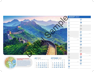# *JULY 2023*

# *SEPTEMBER 2023*



|    |  | Wk Sun Mon Tue Wed Thu Fri Sat                 |  | Wk |
|----|--|------------------------------------------------|--|----|
| 26 |  |                                                |  | 35 |
|    |  | $_{27}$ 2 3 4 5 6 7 8                          |  | 36 |
|    |  | 28 9 10 11 12 13 14 15                         |  | 37 |
|    |  | <sub>29</sub> 16 17 18 19 20 21 22             |  | 38 |
|    |  | $\frac{23}{30}$ $\frac{24}{31}$ 25 26 27 28 29 |  | 39 |

| <b>AUGUST 2023</b>                                    |                                                      |
|-------------------------------------------------------|------------------------------------------------------|
| <b>Tue</b>                                            | 17<br>Thu                                            |
| $\overline{\mathbf{2}}$                               | 18                                                   |
| Wed                                                   | Fri                                                  |
| 3                                                     | 19                                                   |
| Thu                                                   | Sat                                                  |
| 4                                                     | 20                                                   |
| Fri                                                   | Sun                                                  |
| 5<br>Sat                                              | 21<br>Mon<br>Week 34                                 |
| 6                                                     | 22                                                   |
| Sun                                                   | <b>Tue</b>                                           |
| Bank Holiday (Scotland & Eire)<br>7<br>Mon<br>Week 32 | 23<br>Wed                                            |
| 8                                                     | 24                                                   |
| <b>Tue</b>                                            | Thu                                                  |
| 9                                                     | 25                                                   |
| Wed                                                   | Fri                                                  |
| 10                                                    | <b>26</b>                                            |
| Thu                                                   | Sat                                                  |
| 11                                                    | 27                                                   |
| Fri                                                   | Sun                                                  |
| 12<br>Sat                                             | Bank Holiday (Excl Scotland)<br>28<br>Mon<br>Week 35 |
| 13                                                    | 29                                                   |
| Sun                                                   | <b>Tue</b>                                           |
| 14<br>Mon<br>Week 33                                  | 30<br>Wed                                            |
| 15                                                    | 31                                                   |
| Tue                                                   | Thu                                                  |
| 16<br>Wed                                             |                                                      |

*This ancient series of walls and fortifications, 21,196km in length, was originally conceived by Emperor Qin Shi Huang in the 3rd century B.C. as a means of preventing invasions from barbarian nomads and became a powerful symbol of Chinese civilisation's enduring strength. The best-known and bestpreserved section of the Great Wall was built between the 14th and 17th centuries during the Ming dynasty.* 

|    | <sub>wk</sub> Sun Mon Tue Wed Thu Fri Sat |  |  |            |
|----|-------------------------------------------|--|--|------------|
| 35 |                                           |  |  | $1\quad 2$ |
|    | 3 4 5 6 7 8 9                             |  |  |            |
|    | <sub>37</sub> 10 <b>11 12 13 14 15</b> 16 |  |  |            |
|    | <sub>38</sub> 17 <b>18 19 20 21 22 23</b> |  |  |            |
|    | <sub>39</sub> 24 25 26 27 28 29 30        |  |  |            |

### **Great Wall of China, Jinshanling Northern China**

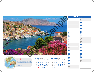| <b>SEPTEMBER 2023</b> |                      |
|-----------------------|----------------------|
| 1                     | 17                   |
| Fri                   | Sun                  |
| $\overline{2}$<br>Sat | 18<br>Mon<br>Week 38 |
| 3                     | 19                   |
| Sun                   | <b>Tue</b>           |
| 4<br>Mon<br>Week 36   | 20<br>Wed            |
| 5                     | 21                   |
| Tue                   | Thu                  |
| 6                     | 22                   |
| Wed                   | Fri                  |
| 7                     | 23                   |
| Thu                   | Sat                  |
| 8                     | 24                   |
| Fri                   | Sun                  |
| 9<br>Sat              | 25<br>Mon<br>Week 39 |
| 10                    | 26                   |
| Sun                   | <b>Tue</b>           |
| 11<br>Mon<br>Week 37  | 27<br>Wed            |
| 12                    | 28                   |
| Tue                   | Thu                  |
| 13                    | 29                   |
| Wed                   | Fri                  |
| 14                    | 30                   |
| Thu                   | Sat                  |
| 15<br>Fri             |                      |
| 16<br>Sat             |                      |

# *AUGUST 2023*



|    |  | Wk Sun Mon Tue Wed Thu Fri Sat        |  | Wk |
|----|--|---------------------------------------|--|----|
| 31 |  | 1 2 3 4 5                             |  | 40 |
|    |  | <sub>32</sub> 6 <b>7 8 9 10 11</b> 12 |  | 41 |
|    |  | <sub>33</sub> 13 14 15 16 17 18 19    |  | 42 |
|    |  | <sub>34</sub> 20 21 22 23 24 25 26    |  | 43 |
|    |  | <sub>35</sub> 27 28 29 30 31          |  | 44 |

*The main town of the island of Symi, north-west of Rhodes has a truly picturesque setting with colourful houses and elegant mansions around the harbour. For many years largely abandoned by its people, it has seen some resurgence recently. It has many interesting churches, some dating from the Byzantine period. There is an archaeological museum and the 14th-century Castle of the Knights of St. John.*

# *Sun Mon Tue Wed Thu Fri Sat OCTOBER 2023 40* **1 2 3 4 5 6 7**  *41* **8 9 10 11 12 13 14** *42* **15 16 17 18 19 20 21** *43* **22 23 24 25 26 27 28**

*44* **29 30 31**

### **Ano Symi, Island of Symi Rhodes, Greece**

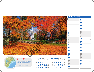Week 42

## *SEPTEMBER 2023*



| $1\quad 2$<br>35<br>36 3 4 5 6 7 8 9<br><sub>37</sub> 10 11 12 13 14 15 16<br>38 17 18 19 20 21 22 23<br>" 24 25 26 27 28 29 30 |  | wk Sun Mon Tue Wed Thu Fri Sat |  |  | Wk              |
|---------------------------------------------------------------------------------------------------------------------------------|--|--------------------------------|--|--|-----------------|
|                                                                                                                                 |  |                                |  |  | $\overline{44}$ |
|                                                                                                                                 |  |                                |  |  | 45              |
|                                                                                                                                 |  |                                |  |  | 46              |
|                                                                                                                                 |  |                                |  |  | $\overline{47}$ |
|                                                                                                                                 |  |                                |  |  | 48              |

| OCTOBER 2023                              |                                             |
|-------------------------------------------|---------------------------------------------|
| 1                                         | 17                                          |
| Sun                                       | <b>Tue</b>                                  |
| $\overline{\mathbf{2}}$<br>Mon<br>Week 40 | 18<br>Wed                                   |
| 3                                         | 19                                          |
| Tue                                       | Thu                                         |
| 4                                         | 20                                          |
| Wed                                       | Fri                                         |
| 5                                         | 21                                          |
| Thu                                       | Sat                                         |
| 6                                         | 22                                          |
| Fri                                       | Sun                                         |
| 7<br>Sat                                  | 23<br>Mon<br>Week 43                        |
| 8                                         | 24                                          |
| Sun                                       | Tue                                         |
| 9<br>Mon<br>Week 41                       | 25<br>Wed                                   |
| <b>10</b>                                 | <b>26</b>                                   |
| Tue                                       | Thu                                         |
| 11                                        | 27                                          |
| Wed                                       | Fri                                         |
| 12                                        | 28                                          |
| Thu                                       | Sat                                         |
| 13<br>Fri                                 | 29<br>British Summertime ends<br>Sun        |
| 14<br>Sat                                 | 30<br>Bank Holiday (Eire)<br>Mon<br>Week 44 |
| 15                                        | 31                                          |
| Sun                                       | Tue                                         |
| 16<br>Mon<br>Week 42                      |                                             |

*A small white church in a village in New Hampshire, framed by sugar maple trees across a carpet of orange and yellow leaves. It is one of the New England states renowned for its autumn foliage where trees explode in a profusion of vibrant hues in September and October – red, gold, amber, orange, yellow and brown. In spring the sap from the sugar maples is collected and boiled down to make maple syrup.*

### *Sun Mon Tue Wed Thu Fri Sat NOVEMBER 2023 44 45* **5 6 7 8 9 10 11**  *46* **12 13 14 15 16 17 18** *47* **19 20 21 22 23 24 25** *48* **26 27 28 29 30 1 2 3 4**

### **Country church, Hillsborough New Hampshire, USA**

# Digital Sample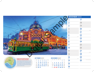

|  |          |  | wk Sun Mon Tue Wed Thu Fri Sat | Wk |
|--|----------|--|--------------------------------|----|
|  |          |  | $40$ 1 2 3 4 5 6 7             | 48 |
|  |          |  | 4 8 9 10 11 12 13 14           | 49 |
|  |          |  | 4 15 16 17 18 19 20 21         | 50 |
|  |          |  | 4 22 23 24 25 26 27 28         | 51 |
|  | 29 30 31 |  |                                | 52 |

|                                                                                                              |                                                                                                | <b>NOVEMBER 2023</b>           |                                         |
|--------------------------------------------------------------------------------------------------------------|------------------------------------------------------------------------------------------------|--------------------------------|-----------------------------------------|
|                                                                                                              |                                                                                                | Wed                            | 17<br>Fri                               |
| 68.                                                                                                          |                                                                                                | $\overline{\mathbf{2}}$<br>Thu | 18<br>Sat                               |
|                                                                                                              |                                                                                                | 3<br>Fri                       | 19<br>Sun                               |
|                                                                                                              |                                                                                                | 4<br>Sat                       | 20<br>Mon<br>Week 47                    |
|                                                                                                              |                                                                                                | 5<br>Sun                       | 21<br>Tue                               |
|                                                                                                              |                                                                                                | 6<br>Mon<br>Week 45            | 22<br>Wed                               |
|                                                                                                              |                                                                                                | 7<br>Tue                       | 23<br>Thu                               |
|                                                                                                              |                                                                                                | 8<br>Wed                       | 24<br>Fri                               |
|                                                                                                              |                                                                                                | 9<br>Thu                       | 25<br>Sat                               |
|                                                                                                              |                                                                                                | 10<br>Fri                      | 26<br>Sun                               |
|                                                                                                              |                                                                                                | 11<br>Sat                      | 27<br>Mon<br>Week 48                    |
|                                                                                                              |                                                                                                | 12<br>Sun                      | 28<br>Tue                               |
| <b>OCTOBER 2023</b>                                                                                          | <b>DECEMBER 2023</b>                                                                           | 13<br>Mon<br>Week 46           | 29<br>Wed                               |
| Wk Sun Mon Tue Wed Thu Fri Sat<br>5<br>3<br>6<br>$\overline{7}$<br>$\mathbf{2}$<br>4<br>$\blacksquare$<br>40 | Wk Sun Mon Tue Wed Thu<br>Fri<br>Sat<br>$\overline{2}$<br>48                                   | 14<br>Tue                      | St Andrew's Day (Scotland)<br>30<br>Thu |
| 8<br>11 12 13 14<br>9 10<br>41<br>4 15 16 17 18 19 20 21                                                     | 8<br>9<br>7<br>-3<br>$\overline{\mathbf{5}}$<br>6<br>4<br>49<br><b>50</b> 10 11 12 13 14 15 16 | 15<br>Wed                      |                                         |
| . 22 23 24 25 26 27 28<br>4 29 30 31                                                                         | 57 17 18 19 20 21 22 23<br>$\frac{24}{31}$ 25 26 27 28 29 30                                   | 16<br>Thu                      |                                         |

*A tram passes Flinders Street Railway Station at dusk. This iconic Edwardian building with its dome, arched entrance, tower and clocks is one of Melbourne's most recognisable landmarks, built in 1854. Backing onto the Yarra River in the Central Business District with platforms and buildings stretching over two whole city blocks, the historic station serves the entire metropolitan rail network and eastern Victoria.*

|    |  |  | wk Sun Mon Tue Wed Thu Fri Sat     |            |
|----|--|--|------------------------------------|------------|
| 48 |  |  |                                    | $1\quad 2$ |
|    |  |  | 4 3 4 5 6 7 8 9                    |            |
|    |  |  | <sub>50</sub> 10 11 12 13 14 15 16 |            |
|    |  |  | <sub>51</sub> 17 18 19 20 21 22 23 |            |
|    |  |  | $\frac{24}{31}$ 25 26 27 28 29 30  |            |

### **Flinders Street Railway Station Melbourne, Victoria, Australia**

# Digital Sample